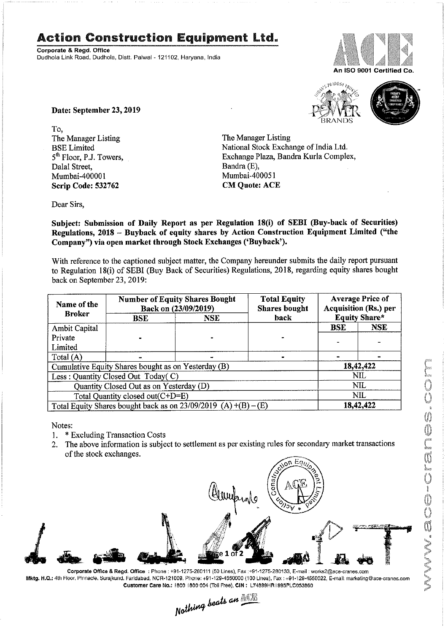## Action Construction Equipment Ltd.

Corporate & Regd. Office Dudhola Link Road, Dudhola, Distt. Palwal - 121102, Haryana, India



An ISO 9001 Certified Co.

 $510$  MOST<sub>TR</sub>



Date: September 23, 2019

To, The Manager Listing<br>BSE Limited The Manager Listing<br>National Stock Exchanger Dalal Street, Bandra (E), Bandra (E), Bandra (E), Bandra (E), Bandra (E), Bandra (E), Bandra (E), Bandra (E), Bandra (E), Bandra (E), Bandra (E), Bandra (E), Bandra (E), Bandra (E), Bandra (E), Bandra (E), Bandra (E), Band Mumbai-400001 Mumbai-400051<br> **Scrip Code: 532762** CM Quote: ACE Scrip Code: 532762

BSE Limited National Stock Exchange of India Ltd.<br>
5<sup>th</sup> Floor, P.J. Towers, Exchange Plaza, Bandra Kurla Comple Exchange Plaza, Bandra Kurla Complex, Bandra (E),

Dear Sirs,

Subject: Submission of Daily Report as per Regulation 18(i) of SEBI (Buy-back of Securities) Regulations, 2018 - Buyback of equity shares by Action Construction Equipment Limited ("the Company") via open market through Stock Exchanges ('Buyback').

With reference to the captioned subject matter, the Company hereunder submits the daily report pursuant to Regulation 18(i) of SEBI (Buy Back of Securities) Regulations, 2018, regarding equity shares bought back on September 23, 2019:

| Name of the<br><b>Broker</b>                                      | <b>Number of Equity Shares Bought</b><br>Back on (23/09/2019) |            | <b>Total Equity</b><br><b>Shares bought</b> | <b>Average Price of</b><br><b>Acquisition (Rs.) per</b> |            |  |
|-------------------------------------------------------------------|---------------------------------------------------------------|------------|---------------------------------------------|---------------------------------------------------------|------------|--|
|                                                                   | <b>BSE</b>                                                    | <b>NSE</b> | back                                        | <b>Equity Share*</b>                                    |            |  |
| Ambit Capital                                                     |                                                               |            |                                             | <b>BSE</b>                                              | <b>NSE</b> |  |
| Private                                                           |                                                               |            |                                             |                                                         |            |  |
| Limited                                                           |                                                               |            |                                             |                                                         |            |  |
| Total (A)                                                         |                                                               |            |                                             |                                                         |            |  |
| Cumulative Equity Shares bought as on Yesterday (B)               |                                                               |            |                                             |                                                         | 18,42,422  |  |
| Less: Quantity Closed Out Today(C)                                |                                                               |            |                                             | NIL                                                     |            |  |
| Quantity Closed Out as on Yesterday (D)                           |                                                               |            |                                             | <b>NIL</b>                                              |            |  |
| Total Quantity closed out(C+D=E)                                  |                                                               |            |                                             | <b>NIL</b>                                              |            |  |
| Total Equity Shares bought back as on $23/09/2019$ (A) +(B) – (E) |                                                               |            |                                             | 18,42,422                                               |            |  |

Notes:

- 1. \* Excluding Transaction Costs
- 2. The above information is subject to settlement as per existing rules for secondary market transactions of the stock exchanges.



Corporate Office & Regd. Office : Phone : +91-1275-280111 (50 Lines), Fax :+91-1275-280133, E-mail : works2@ace-cranes.com Mktg. H.Q.: 4th Floor. Pinnacle. Surajkund. Faridabad, NCR-121009. Phone; +91-129-4550000 (100 Lines), Fax : +91-129-4550022, E-mail: marketing@ace-cranes.com

Customer Care No.: 1800 1800 004 (Toll Free). CIN: L74899HR 1995PLC053860<br>Nathing beats an  $\frac{1}{2}$